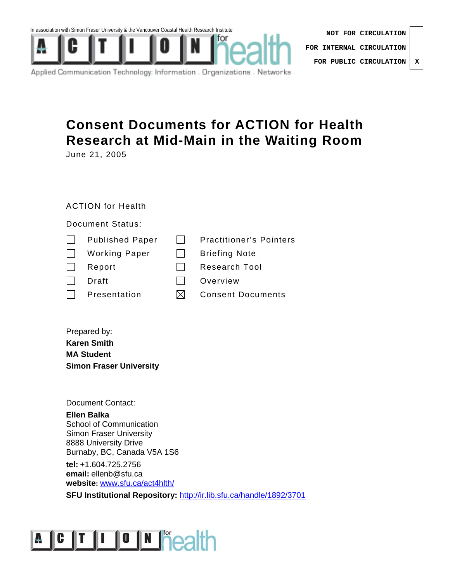

| NOT FOR CIRCULATION              |   |
|----------------------------------|---|
| FOR INTERNAL CIRCULATION $\vert$ |   |
| FOR PUBLIC CIRCULATION           | X |

Applied Communication Technology: Information . Organizations . Networks

# **Consent Documents for ACTION for Health Research at Mid-Main in the Waiting Room**

June 21, 2005

# ACTION for Health

## Document Status:

|              | <b>Published Paper</b> | <b>Practitioner's Pointers</b> |
|--------------|------------------------|--------------------------------|
| $\mathbf{I}$ | <b>Working Paper</b>   | <b>Briefing Note</b>           |
|              | Report                 | <b>Research Tool</b>           |
|              | Draft                  | Overview                       |
|              | Presentation           | <b>Consent Documents</b>       |
|              |                        |                                |

Prepared by: **Karen Smith MA Student Simon Fraser University** 

Document Contact:

**Ellen Balka**  School of Communication Simon Fraser University 8888 University Drive Burnaby, BC, Canada V5A 1S6

**tel:** +1.604.725.2756 **email:** ellenb@sfu.ca **website:** www.sfu.ca/act4hlth/

**SFU Institutional Repository: http://ir.lib.sfu.ca/handle/1892/3701** 

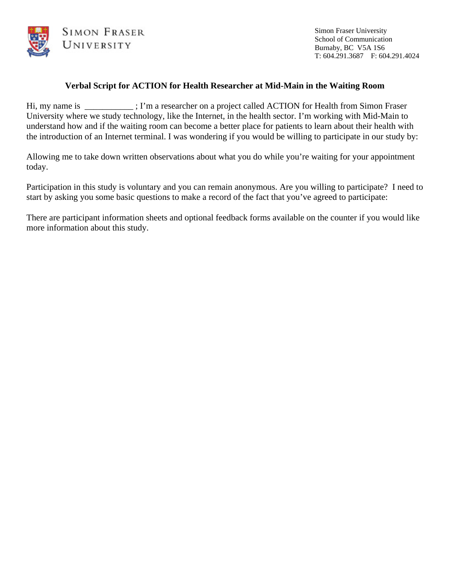

Simon Fraser University School of Communication Burnaby, BC V5A 1S6 T: 604.291.3687 F: 604.291.4024

## **Verbal Script for ACTION for Health Researcher at Mid-Main in the Waiting Room**

Hi, my name is  $\Box$ ; I'm a researcher on a project called ACTION for Health from Simon Fraser University where we study technology, like the Internet, in the health sector. I'm working with Mid-Main to understand how and if the waiting room can become a better place for patients to learn about their health with the introduction of an Internet terminal. I was wondering if you would be willing to participate in our study by:

Allowing me to take down written observations about what you do while you're waiting for your appointment today.

Participation in this study is voluntary and you can remain anonymous. Are you willing to participate? I need to start by asking you some basic questions to make a record of the fact that you've agreed to participate:

There are participant information sheets and optional feedback forms available on the counter if you would like more information about this study.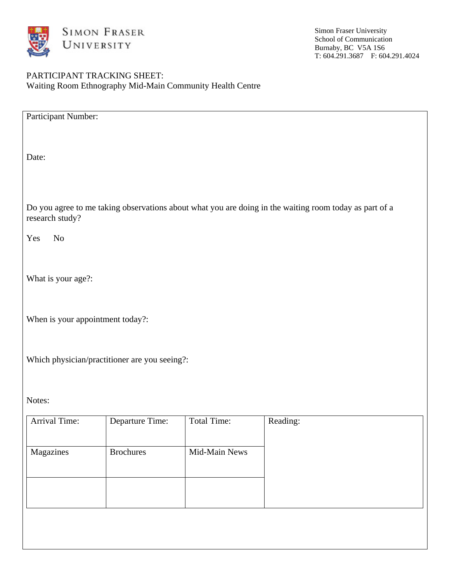

## PARTICIPANT TRACKING SHEET: Waiting Room Ethnography Mid-Main Community Health Centre

| Participant Number:                                                                                                       |                  |                    |          |  |  |  |  |
|---------------------------------------------------------------------------------------------------------------------------|------------------|--------------------|----------|--|--|--|--|
| Date:                                                                                                                     |                  |                    |          |  |  |  |  |
| Do you agree to me taking observations about what you are doing in the waiting room today as part of a<br>research study? |                  |                    |          |  |  |  |  |
| $\rm No$<br>Yes                                                                                                           |                  |                    |          |  |  |  |  |
| What is your age?:                                                                                                        |                  |                    |          |  |  |  |  |
| When is your appointment today?:                                                                                          |                  |                    |          |  |  |  |  |
| Which physician/practitioner are you seeing?:                                                                             |                  |                    |          |  |  |  |  |
| Notes:                                                                                                                    |                  |                    |          |  |  |  |  |
| Arrival Time:                                                                                                             | Departure Time:  | <b>Total Time:</b> | Reading: |  |  |  |  |
| Magazines                                                                                                                 | <b>Brochures</b> | Mid-Main News      |          |  |  |  |  |
|                                                                                                                           |                  |                    |          |  |  |  |  |
|                                                                                                                           |                  |                    |          |  |  |  |  |
|                                                                                                                           |                  |                    |          |  |  |  |  |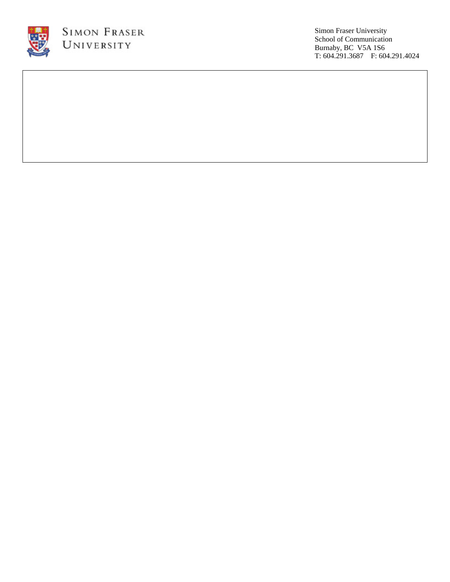

Simon Fraser University School of Communication Burnaby, BC V5A 1S6 T: 604.291.3687 F: 604.291.4024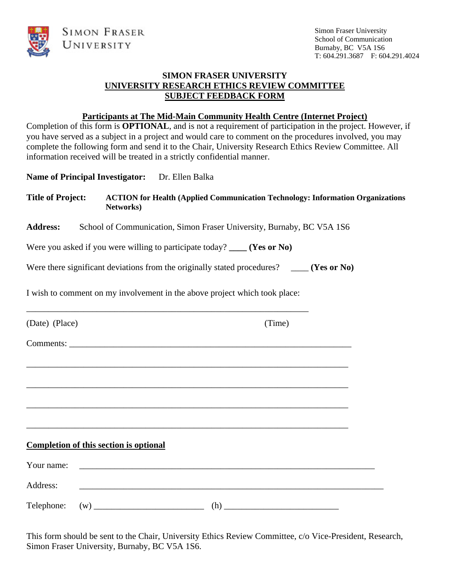



## **SIMON FRASER UNIVERSITY UNIVERSITY RESEARCH ETHICS REVIEW COMMITTEE SUBJECT FEEDBACK FORM**

## **Participants at The Mid-Main Community Health Centre (Internet Project)**

Completion of this form is **OPTIONAL**, and is not a requirement of participation in the project. However, if you have served as a subject in a project and would care to comment on the procedures involved, you may complete the following form and send it to the Chair, University Research Ethics Review Committee. All information received will be treated in a strictly confidential manner.

Name of Principal Investigator: Dr. Ellen Balka

**Title of Project: ACTION for Health (Applied Communication Technology: Information Organizations Networks)**

Address: School of Communication, Simon Fraser University, Burnaby, BC V5A 1S6

Were you asked if you were willing to participate today? **\_\_\_\_ (Yes or No)** 

Were there significant deviations from the originally stated procedures? **(Yes or No)** 

I wish to comment on my involvement in the above project which took place:

\_\_\_\_\_\_\_\_\_\_\_\_\_\_\_\_\_\_\_\_\_\_\_\_\_\_\_\_\_\_\_\_\_\_\_\_\_\_\_\_\_\_\_\_\_\_\_\_\_\_\_\_\_\_\_\_\_\_\_\_\_\_\_\_

| (Date) (Place) |                                               |                                                                                                                       | (Time) |  |
|----------------|-----------------------------------------------|-----------------------------------------------------------------------------------------------------------------------|--------|--|
|                |                                               |                                                                                                                       |        |  |
|                |                                               |                                                                                                                       |        |  |
|                |                                               |                                                                                                                       |        |  |
|                |                                               |                                                                                                                       |        |  |
|                |                                               |                                                                                                                       |        |  |
|                | <b>Completion of this section is optional</b> |                                                                                                                       |        |  |
| Your name:     |                                               | <u> 1989 - Johann Barbara, martin amerikan basal dan berasal dan berasal dalam basal dan berasal dan berasal dan</u>  |        |  |
| Address:       |                                               | <u> 1980 - Johann Barn, mars ann an t-Amhain ann an t-Amhain an t-Amhain ann an t-Amhain an t-Amhain ann an t-Amh</u> |        |  |
| Telephone:     |                                               | (h)                                                                                                                   |        |  |

This form should be sent to the Chair, University Ethics Review Committee, c/o Vice-President, Research, Simon Fraser University, Burnaby, BC V5A 1S6.